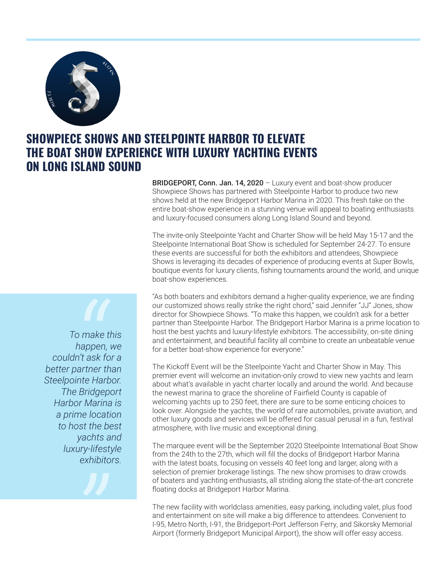

## **SHOWPIECE SHOWS AND STEELPOINTE HARBOR TO ELEVATE THE BOAT SHOW EXPERIENCE WITH LUXURY YACHTING EVENTS ON LONG ISLAND SOUND**

**BRIDGEPORT, Conn. Jan. 14, 2020** – Luxury event and boat-show producer Showpiece Shows has partnered with Steelpointe Harbor to produce two new shows held at the new Bridgeport Harbor Marina in 2020. This fresh take on the entire boat-show experience in a stunning venue will appeal to boating enthusiasts and luxury-focused consumers along Long Island Sound and beyond.

The invite-only Steelpointe Yacht and Charter Show will be held May 15-17 and the Steelpointe International Boat Show is scheduled for September 24-27. To ensure these events are successful for both the exhibitors and attendees, Showpiece Shows is leveraging its decades of experience of producing events at Super Bowls, boutique events for luxury clients, fishing tournaments around the world, and unique boat-show experiences.

"As both boaters and exhibitors demand a higher-quality experience, we are finding our customized shows really strike the right chord," said Jennifer "JJ" Jones, show director for Showpiece Shows. "To make this happen, we couldn't ask for a better partner than Steelpointe Harbor. The Bridgeport Harbor Marina is a prime location to host the best yachts and luxury-lifestyle exhibitors. The accessibility, on-site dining and entertainment, and beautiful facility all combine to create an unbeatable venue for a better boat-show experience for everyone."

The Kickoff Event will be the Steelpointe Yacht and Charter Show in May. This premier event will welcome an invitation-only crowd to view new yachts and learn about what's available in yacht charter locally and around the world. And because the newest marina to grace the shoreline of Fairfield County is capable of welcoming yachts up to 250 feet, there are sure to be some enticing choices to look over. Alongside the yachts, the world of rare automobiles, private aviation, and other luxury goods and services will be offered for casual perusal in a fun, festival atmosphere, with live music and exceptional dining.

The marquee event will be the September 2020 Steelpointe International Boat Show from the 24th to the 27th, which will fill the docks of Bridgeport Harbor Marina with the latest boats, focusing on vessels 40 feet long and larger, along with a selection of premier brokerage listings. The new show promises to draw crowds of boaters and yachting enthusiasts, all striding along the state-of-the-art concrete floating docks at Bridgeport Harbor Marina.

The new facility with worldclass amenities, easy parking, including valet, plus food and entertainment on site will make a big difference to attendees. Convenient to I-95, Metro North, I-91, the Bridgeport-Port Jefferson Ferry, and Sikorsky Memorial Airport (formerly Bridgeport Municipal Airport), the show will offer easy access.

*To make this happen, we couldn't ask for a better partner than Steelpointe Harbor. The Bridgeport Harbor Marina is a prime location to host the best yachts and luxury-lifestyle exhibitors. o make<br>
happen*<br> *n't ask f*<br> *inte Har*<br> *P Bridge* 

*"*